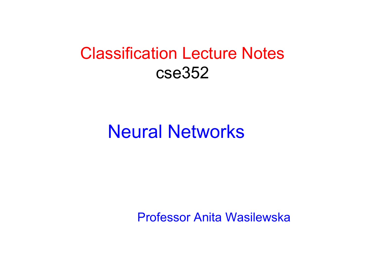#### Classification Lecture Notes cse352

#### Neural Networks

Professor Anita Wasilewska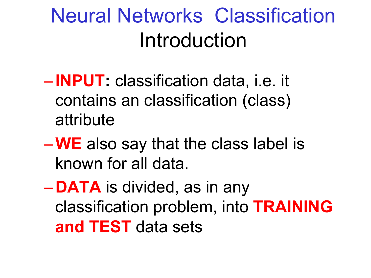## Neural Networks Classification Introduction

- **INPUT:** classification data, i.e. it contains an classification (class) attribute
- –**WE** also say that the class label is known for all data.
- **DATA** is divided, as in any classification problem, into **TRAINING and TEST** data sets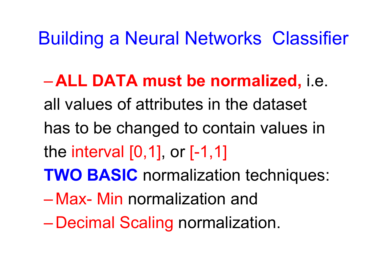Building a Neural Networks Classifier

– **ALL DATA must be normalized,** i.e. all values of attributes in the dataset has to be changed to contain values in the interval [0,1], or [-1,1] **TWO BASIC** normalization techniques:

- Max- Min normalization and
- Decimal Scaling normalization.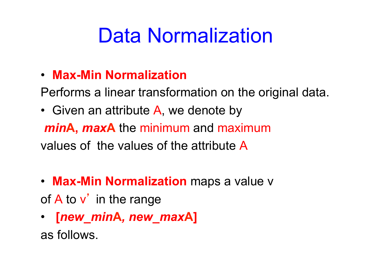## Data Normalization

• **Max-Min Normalization** 

Performs a linear transformation on the original data.

- Given an attribute A, we denote by *min***A,** *max***A** the minimum and maximum values of the values of the attribute A
- **Max-Min Normalization** maps a value v of A to v' in the range
- **[***new\_min***A***, new\_max***A]**

as follows.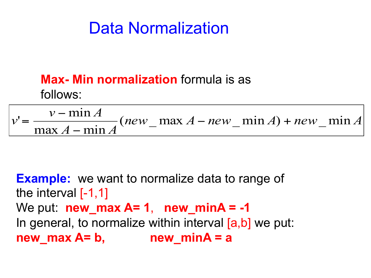#### Data Normalization

#### **Max- Min normalization** formula is as follows:

 $new$ <sup>*M*</sup>  $A - new$ <sup>*new*  $A$   $A + new$ <sup>*new*</sup>  $A$ </sup>  $A - \min A$  $v - \min A$  $v' = \frac{v - \min A}{\lambda}$  (*new* \_ max A – *new* \_ min A) + *new* \_ min  $\max A - \min$  $v - \min$  $\frac{v - \min A}{\max A - \min A} (new - \max A - new - \min A) +$  $=\frac{v-}{v}$ 

**Example:** we want to normalize data to range of the interval  $[-1,1]$ We put: **new\_max A= 1**, **new\_minA = -1**  In general, to normalize within interval [a,b] we put: new max  $A = b$ , new min $A = a$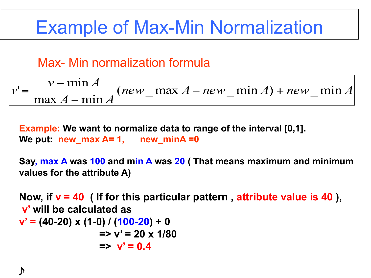### Example of Max-Min Normalization

#### Max- Min normalization formula

$$
v' = \frac{v - \min A}{\max A - \min A} (new - \max A - new - \min A) + new - \min A
$$

**Example: We want to normalize data to range of the interval [0,1].**  We put: new max A= 1, new minA =0

**Say, max A was 100 and min A was 20 ( That means maximum and minimum values for the attribute A)** 

**Now, if v = 40 ( If for this particular pattern , attribute value is 40 ), v' will be calculated as v' = (40-20) x (1-0) / (100-20) + 0 => v' = 20 x 1/80**   $=$   $\vee$   $= 0.4$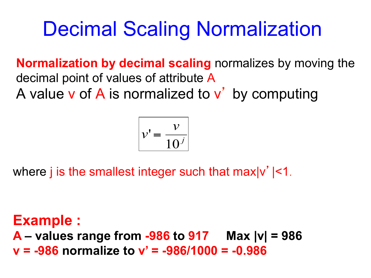## Decimal Scaling Normalization

**Normalization by decimal scaling** normalizes by moving the decimal point of values of attribute A A value v of A is normalized to v' by computing

$$
v' = \frac{v}{10^j}
$$

where j is the smallest integer such that  $max|v'|<1$ .

**Example : A – values range from -986 to 917 Max |v| = 986 v = -986 normalize to v' = -986/1000 = -0.986**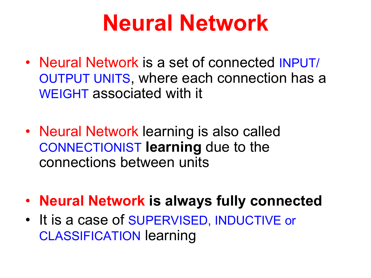# **Neural Network**

- Neural Network is a set of connected INPUT/ OUTPUT UNITS, where each connection has a WEIGHT associated with it
- Neural Network learning is also called CONNECTIONIST **learning** due to the connections between units
- **Neural Network is always fully connected**
- It is a case of SUPERVISED, INDUCTIVE or CLASSIFICATION learning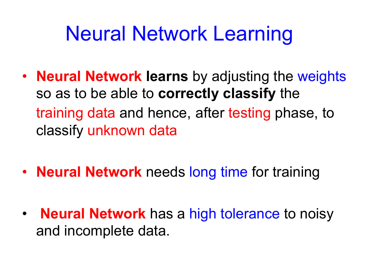## Neural Network Learning

- **Neural Network learns** by adjusting the weights so as to be able to **correctly classify** the training data and hence, after testing phase, to classify unknown data
- **Neural Network** needs long time for training
- **Neural Network** has a high tolerance to noisy and incomplete data.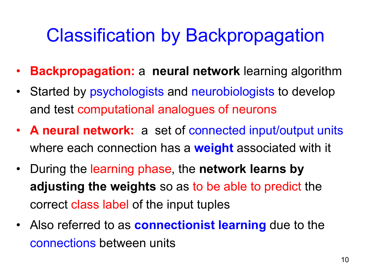## Classification by Backpropagation

- **Backpropagation:** a **neural network** learning algorithm
- Started by psychologists and neurobiologists to develop and test computational analogues of neurons
- **A neural network:** a set of connected input/output units where each connection has a **weight** associated with it
- During the learning phase, the **network learns by adjusting the weights** so as to be able to predict the correct class label of the input tuples
- Also referred to as **connectionist learning** due to the connections between units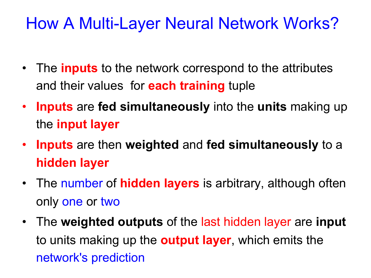#### How A Multi-Layer Neural Network Works?

- The **inputs** to the network correspond to the attributes and their values for **each training** tuple
- **Inputs** are **fed simultaneously** into the **units** making up the **input layer**
- **Inputs** are then **weighted** and **fed simultaneously** to a **hidden layer**
- The number of **hidden layers** is arbitrary, although often only one or two
- The **weighted outputs** of the last hidden layer are **input** to units making up the **output layer**, which emits the network's prediction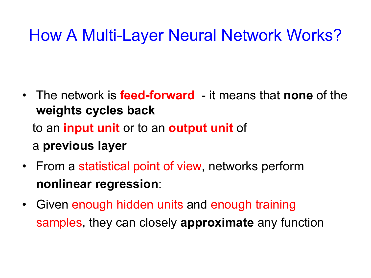#### How A Multi-Layer Neural Network Works?

- The network is **feed-forward**  it means that **none** of the **weights cycles back** to an **input unit** or to an **output unit** of a **previous layer**
- From a statistical point of view, networks perform **nonlinear regression**:
- Given enough hidden units and enough training samples, they can closely **approximate** any function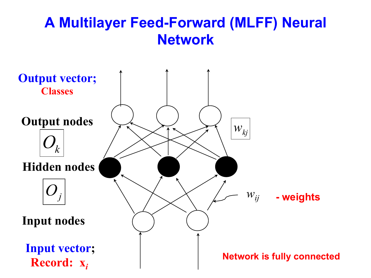#### **A Multilayer Feed-Forward (MLFF) Neural Network**

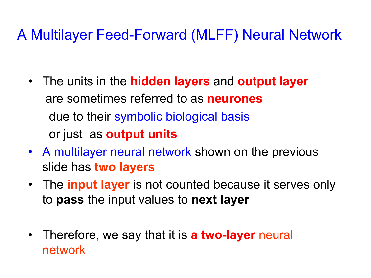#### A Multilayer Feed-Forward (MLFF) Neural Network

- The units in the **hidden layers** and **output layer** are sometimes referred to as **neurones** due to their symbolic biological basis or just as **output units**
- A multilayer neural network shown on the previous slide has **two layers**
- The **input layer** is not counted because it serves only to **pass** the input values to **next layer**
- Therefore, we say that it is **a two-layer** neural network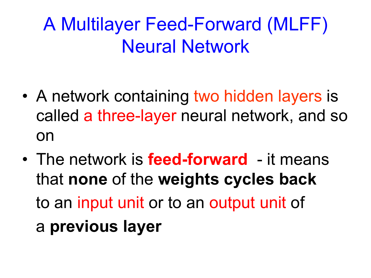## A Multilayer Feed-Forward (MLFF) Neural Network

- A network containing two hidden layers is called a three-layer neural network, and so on
- The network is **feed-forward**  it means that **none** of the **weights cycles back** to an input unit or to an output unit of a **previous layer**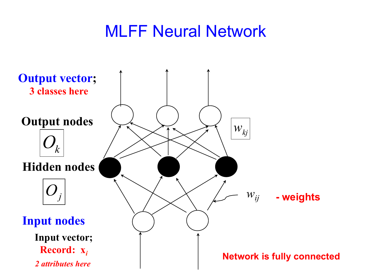#### MLFF Neural Network

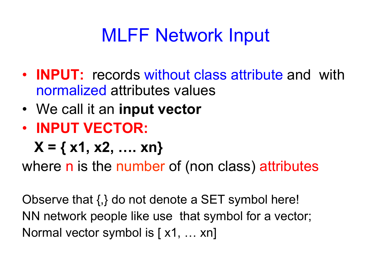## MLFF Network Input

- **INPUT:** records without class attribute and with normalized attributes values
- We call it an **input vector**
- **INPUT VECTOR:**

 $X = \{ x1, x2, \ldots xn \}$ 

where n is the number of (non class) attributes

Observe that {,} do not denote a SET symbol here! NN network people like use that symbol for a vector; Normal vector symbol is [ x1, … xn]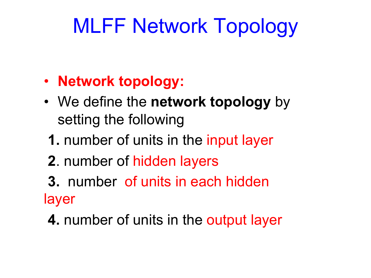- **Network topology:**
- We define the **network topology** by setting the following
	- **1.** number of units in the input layer
	- **2**. number of hidden layers
- **3.** number of units in each hidden layer
- **4.** number of units in the output layer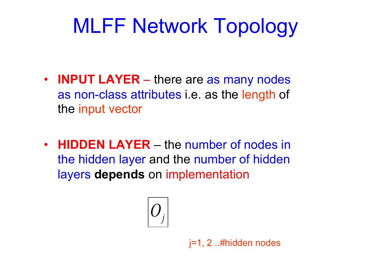- **INPUT LAYER**  there are as many nodes as non-class attributes i.e. as the length of the input vector
- **HIDDEN LAYER** the number of nodes in the hidden layer and the number of hidden layers **depends** on implementation

$$
\boxed{O_j}
$$

j=1, 2 ..#hidden nodes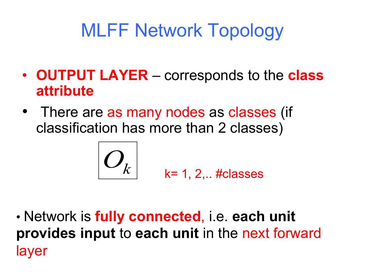- **OUTPUT LAYER** corresponds to the **class attribute**
- There are as many nodes as classes (if classification has more than 2 classes)

$$
O_k
$$
  $k=1, 2,..$  *#classes*

• Network is **fully connected**, i.e. **each unit provides input** to **each unit** in the next forward layer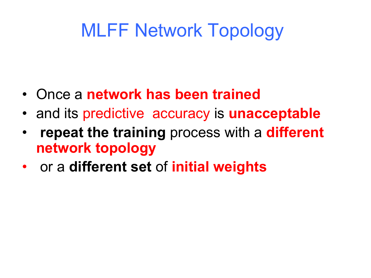- Once a **network has been trained**
- and its predictive accuracy is **unacceptable**
- **repeat the training** process with a **different network topology**
- or a **different set** of **initial weights**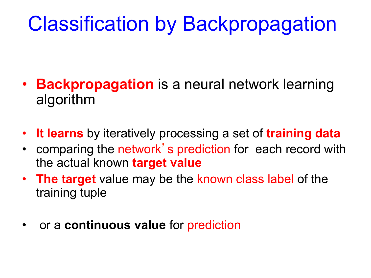## Classification by Backpropagation

- **Backpropagation** is a neural network learning algorithm
- **It learns** by iteratively processing a set of **training data**
- comparing the network's prediction for each record with the actual known **target value**
- **The target** value may be the known class label of the training tuple
- or a **continuous value** for prediction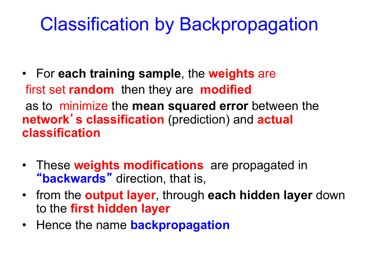### Classification by Backpropagation

- For **each training sample**, the **weights** are first set **random** then they are **modified**  as to minimize the **mean squared error** between the **network**'**s classification** (prediction) and **actual classification**
- These **weights modifications** are propagated in "**backwards**" direction, that is,
- from the **output layer**, through **each hidden layer** down to the **first hidden layer**
- Hence the name **backpropagation**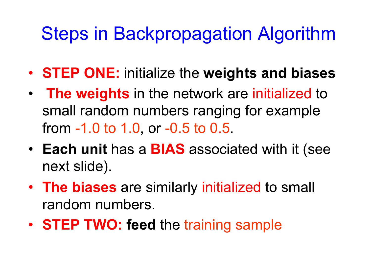### Steps in Backpropagation Algorithm

- **STEP ONE:** initialize the **weights and biases**
- **The weights** in the network are initialized to small random numbers ranging for example from -1.0 to 1.0, or -0.5 to 0.5.
- **Each unit** has a **BIAS** associated with it (see next slide).
- **The biases** are similarly initialized to small random numbers.
- **STEP TWO: feed** the training sample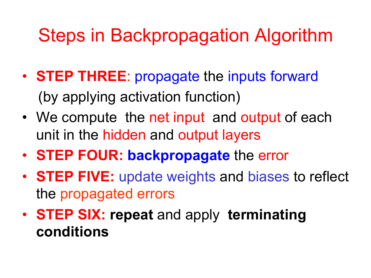### Steps in Backpropagation Algorithm

- **STEP THREE**: propagate the inputs forward (by applying activation function)
- We compute the net input and output of each unit in the hidden and output layers
- **STEP FOUR: backpropagate** the error
- **STEP FIVE:** update weights and biases to reflect the propagated errors
- **STEP SIX: repeat** and apply **terminating conditions**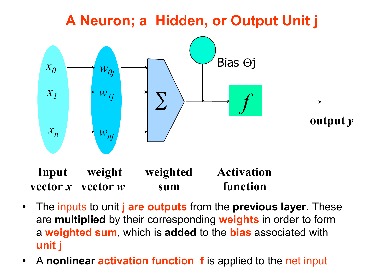#### **A Neuron; a Hidden, or Output Unit j**



**weighted sum Input vector** *x* **vector** *w* **Activation function weight** 

- The inputs to unit **j are outputs** from the **previous layer**. These are **multiplied** by their corresponding **weights** in order to form a **weighted sum**, which is **added** to the **bias** associated with **unit j**
- A **nonlinear activation function f** is applied to the net input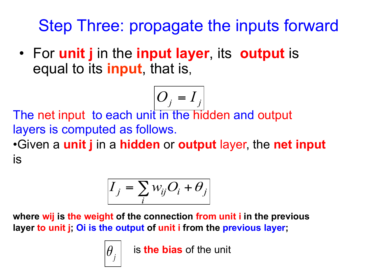Step Three: propagate the inputs forward

• For **unit j** in the **input layer**, its **output** is equal to its **input**, that is,

$$
O_j = I_j
$$

The net input to each unit in the hidden and output layers is computed as follows.

•Given a **unit j** in a **hidden** or **output** layer, the **net input** is

$$
I_j = \sum_i w_{ij} O_i + \theta_j
$$

**where wij is the weight of the connection from unit i in the previous layer to unit j; Oi is the output of unit i from the previous layer;** 

 $\theta_{\scriptscriptstyle{I}}$   $\vert$   $\;$  is **the bias** of the unit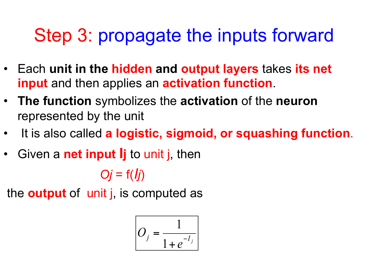## Step 3: propagate the inputs forward

- Each **unit in the hidden and output layers** takes **its net input** and then applies an **activation function**.
- **The function** symbolizes the **activation** of the **neuron**  represented by the unit
- It is also called **a logistic, sigmoid, or squashing function**.
- Given a **net input Ij** to unit j, then

 $Oj = f(lj)$ 

the **output** of unit j, is computed as

$$
O_j = \frac{1}{1 + e^{-I_j}}
$$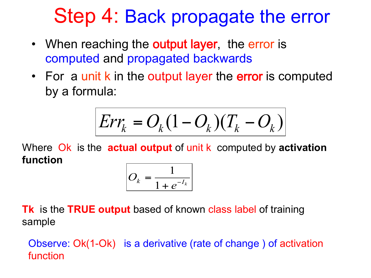## Step 4: Back propagate the error

- When reaching the **output layer**, the error is computed and propagated backwards
- For a unit k in the output layer the error is computed by a formula:

$$
Err_k = O_k(1 - O_k)(T_k - O_k)
$$

Where Ok is the **actual output** of unit k computed by **activation function** 



**Tk** is the **TRUE output** based of known class label of training sample

Observe: Ok(1-Ok) is a derivative (rate of change ) of activation function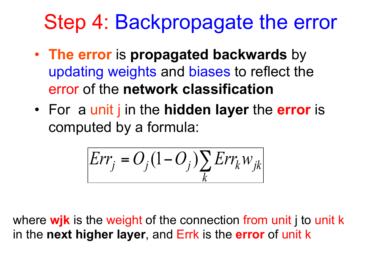## Step 4: Backpropagate the error

- **The error** is **propagated backwards** by updating weights and biases to reflect the error of the **network classification**
- For a unit j in the **hidden layer** the **error** is computed by a formula:

$$
Err_j = O_j(1 - O_j) \sum_k Err_k w_{jk}
$$

where **wjk** is the weight of the connection from unit j to unit k in the **next higher layer**, and Errk is the **error** of unit k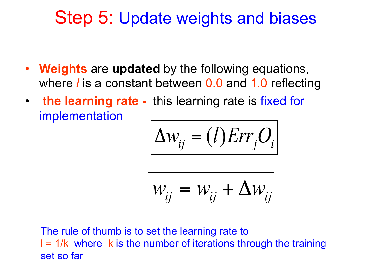#### Step 5: Update weights and biases

- **Weights** are **updated** by the following equations, where *l* is a constant between 0.0 and 1.0 reflecting
- **the learning rate** this learning rate is fixed for implementation

$$
\Delta w_{ij} = (l)Err_jO_i
$$

$$
W_{ij} = W_{ij} + \Delta W_{ij}
$$

The rule of thumb is to set the learning rate to  $I = 1/k$  where k is the number of iterations through the training set so far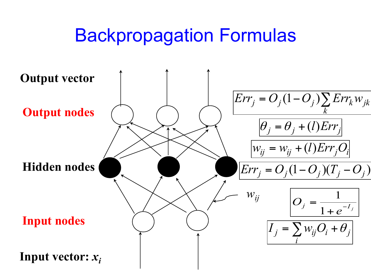#### Backpropagation Formulas

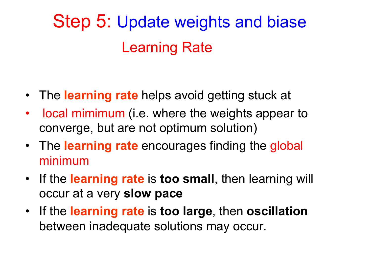## Step 5: Update weights and biase Learning Rate

- The **learning rate** helps avoid getting stuck at
- local mimimum (i.e. where the weights appear to converge, but are not optimum solution)
- The **learning rate** encourages finding the global minimum
- If the **learning rate** is **too small**, then learning will occur at a very **slow pace**
- If the **learning rate** is **too large**, then **oscillation**  between inadequate solutions may occur.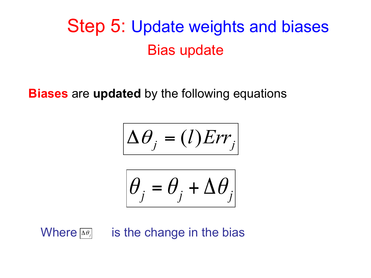### Step 5: Update weights and biases Bias update

#### **Biases** are **updated** by the following equations

$$
\Delta \theta_j = (l)Err_j
$$

$$
\theta_j = \theta_j + \Delta \theta_j
$$

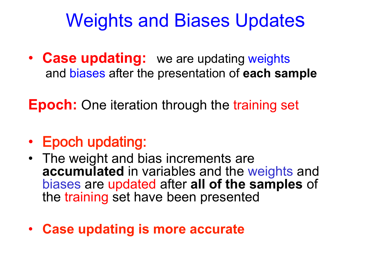### Weights and Biases Updates

• **Case updating:** we are updating weights and biases after the presentation of **each sample** 

**Epoch:** One iteration through the training set

- Epoch updating:
- The weight and bias increments are **accumulated** in variables and the weights and biases are updated after **all of the samples** of the training set have been presented
- **Case updating is more accurate**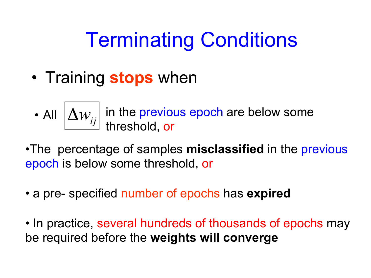## Terminating Conditions

- Training **stops** when
	- All  $\left|\Delta w_{ij}\right|$  in the previous epoch are below some  $\,$ threshold, or
- •The percentage of samples **misclassified** in the previous epoch is below some threshold, or
- a pre- specified number of epochs has **expired**
- In practice, several hundreds of thousands of epochs may be required before the **weights will converge**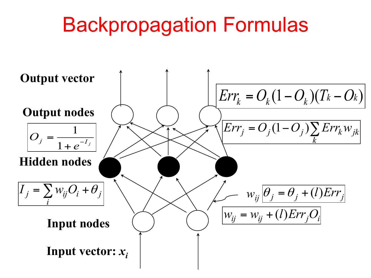## Backpropagation Formulas

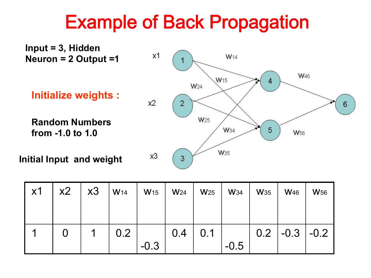### Example of Back Propagation



| $\times 1$ | x2 | x3 | W <sub>14</sub> | W <sub>15</sub> | W <sub>24</sub> | W <sub>25</sub> | <b>W</b> 34 | <b>W</b> 35 | <b>W</b> <sub>46</sub> | <b>W</b> <sub>56</sub> |
|------------|----|----|-----------------|-----------------|-----------------|-----------------|-------------|-------------|------------------------|------------------------|
|            |    |    |                 |                 |                 |                 |             |             |                        |                        |
|            |    | 1  | 0.2             |                 | 0.4             | 0.1             |             |             | $0.2$   -0.3   -0.2    |                        |
|            |    |    |                 | $-0.3$          |                 |                 | $-0.5$      |             |                        |                        |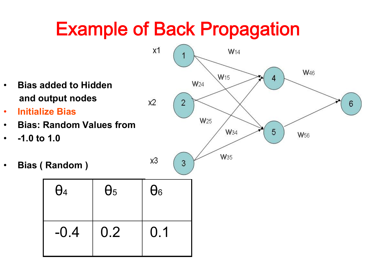## Example of Back Propagation

 $x2$ 

- **Bias added to Hidden and output nodes**
- **Initialize Bias**
- **Bias: Random Values from**
- **-1.0 to 1.0**
- **Bias ( Random )**

| $\theta_4$ | $\theta$ <sub>5</sub> | $\theta_6$ |
|------------|-----------------------|------------|
| $-0.4$     | 0.2                   | 0.1        |

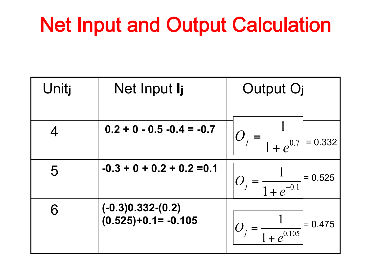## Net Input and Output Calculation

| Unitj | Net Input I <sub>j</sub>                     | Output O <sub>j</sub>                         |
|-------|----------------------------------------------|-----------------------------------------------|
|       | $0.2 + 0 - 0.5 - 0.4 = -0.7$                 | $O_j = \frac{1}{1+e^{0.7}} = 0.332$           |
| 5     | $-0.3 + 0 + 0.2 + 0.2 = 0.1$                 | $ O_j = \frac{1}{1 + e^{-0.1}} $<br>$= 0.525$ |
| 6     | $(-0.3)0.332-(0.2)$<br>$(0.525)+0.1= -0.105$ | $= 0.475$                                     |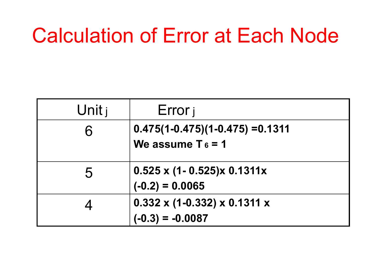## Calculation of Error at Each Node

| Unit $\mathsf{j}$ | Error j                                         |
|-------------------|-------------------------------------------------|
| 6                 | $0.475(1 - 0.475)(1 - 0.475) = 0.1311$          |
|                   | We assume $T_6 = 1$                             |
| 5                 | $0.525$ x (1- 0.525)x 0.1311x                   |
|                   | $(-0.2) = 0.0065$                               |
|                   | $0.332 \times (1 - 0.332) \times 0.1311 \times$ |
|                   | $(-0.3) = -0.0087$                              |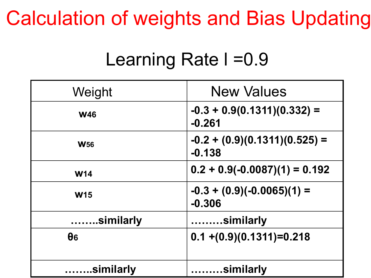## Calculation of weights and Bias Updating

### Learning Rate I = 0.9

| Weight                | <b>New Values</b>                           |
|-----------------------|---------------------------------------------|
| <b>W46</b>            | $-0.3 + 0.9(0.1311)(0.332) =$<br>$-0.261$   |
| <b>W<sub>56</sub></b> | $-0.2 + (0.9)(0.1311)(0.525) =$<br>$-0.138$ |
| <b>W14</b>            | $0.2 + 0.9(-0.0087)(1) = 0.192$             |
| <b>W15</b>            | $-0.3 + (0.9)(-0.0065)(1) =$<br>$-0.306$    |
| similarly             | $\ldots \ldots \ldots$ similarly            |
| $\theta$ 6            | $0.1 + (0.9)(0.1311) = 0.218$               |
| .similarly            | .similarly<br>.                             |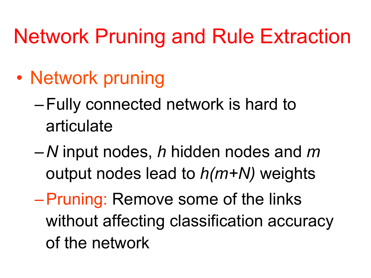## Network Pruning and Rule Extraction

- Network pruning
	- –Fully connected network is hard to articulate
	- *N* input nodes, *h* hidden nodes and *m* output nodes lead to *h(m+N)* weights
	- –Pruning: Remove some of the links without affecting classification accuracy of the network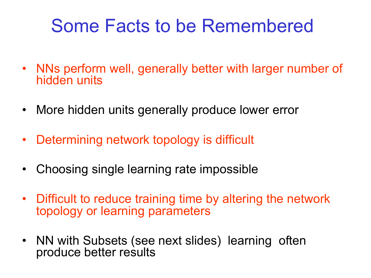### Some Facts to be Remembered

- NNs perform well, generally better with larger number of hidden units
- More hidden units generally produce lower error
- Determining network topology is difficult
- Choosing single learning rate impossible
- Difficult to reduce training time by altering the network topology or learning parameters
- NN with Subsets (see next slides) learning often produce better results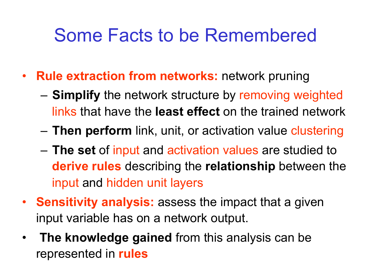### Some Facts to be Remembered

- **Rule extraction from networks:** network pruning
	- **Simplify** the network structure by removing weighted links that have the **least effect** on the trained network
	- **Then perform** link, unit, or activation value clustering
	- **The set** of input and activation values are studied to **derive rules** describing the **relationship** between the input and hidden unit layers
- **Sensitivity analysis:** assess the impact that a given input variable has on a network output.
- **The knowledge gained** from this analysis can be represented in **rules**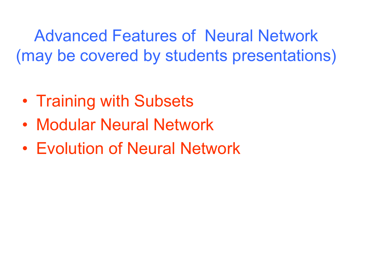Advanced Features of Neural Network (may be covered by students presentations)

- Training with Subsets
- Modular Neural Network
- Evolution of Neural Network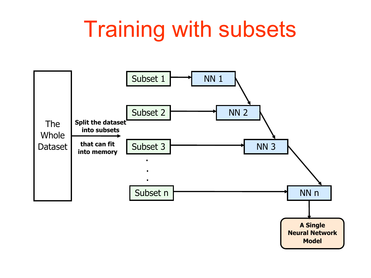# Training with subsets

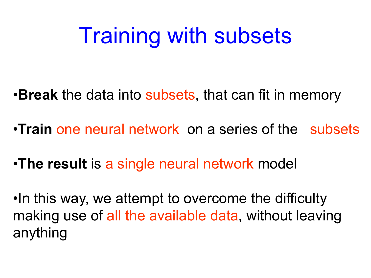# Training with subsets

•**Break** the data into subsets, that can fit in memory

- •**Train** one neural network on a series of the subsets
- •**The result** is a single neural network model

•In this way, we attempt to overcome the difficulty making use of all the available data, without leaving anything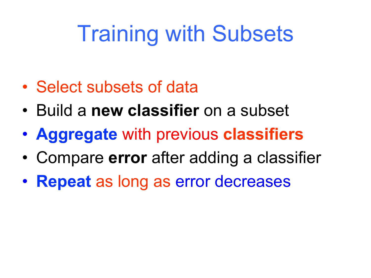# Training with Subsets

- Select subsets of data
- Build a **new classifier** on a subset
- **Aggregate** with previous **classifiers**
- Compare **error** after adding a classifier
- **Repeat** as long as error decreases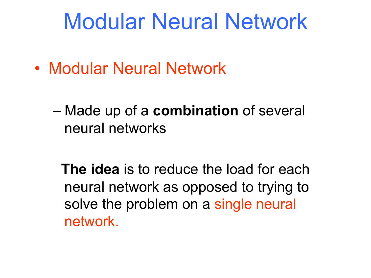## Modular Neural Network

• Modular Neural Network

– Made up of a **combination** of several neural networks

 **The idea** is to reduce the load for each neural network as opposed to trying to solve the problem on a single neural network.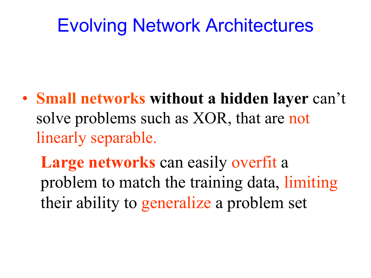#### Evolving Network Architectures

• **Small networks without a hidden layer** can't solve problems such as XOR, that are not linearly separable.

**Large networks** can easily overfit a problem to match the training data, limiting their ability to generalize a problem set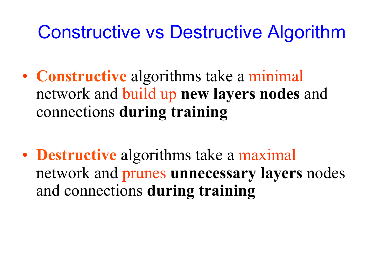#### Constructive vs Destructive Algorithm

- **Constructive** algorithms take a minimal network and build up **new layers nodes** and connections **during training**
- **Destructive** algorithms take a maximal network and prunes **unnecessary layers** nodes and connections **during training**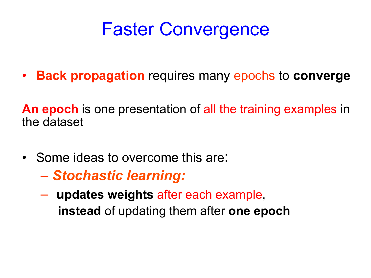#### Faster Convergence

• **Back propagation** requires many epochs to **converge** 

**An epoch** is one presentation of all the training examples in the dataset

- Some ideas to overcome this are:
	- *Stochastic learning:*
	- **updates weights** after each example,  **instead** of updating them after **one epoch**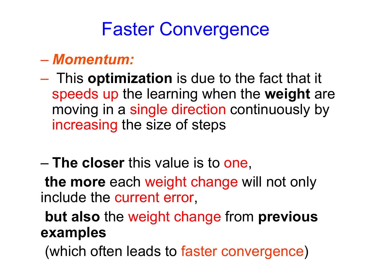### Faster Convergence

#### – *Momentum:*

- This **optimization** is due to the fact that it speeds up the learning when the **weight** are moving in a single direction continuously by increasing the size of steps
- **The closer** this value is to one,

**the more** each weight change will not only include the current error,

**but also** the weight change from **previous examples** 

(which often leads to faster convergence)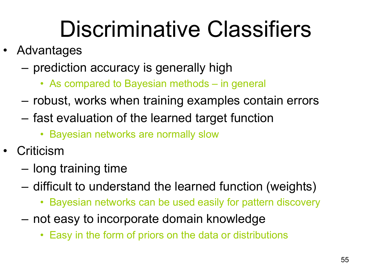# Discriminative Classifiers

- Advantages
	- prediction accuracy is generally high
		- As compared to Bayesian methods in general
	- robust, works when training examples contain errors
	- fast evaluation of the learned target function
		- Bayesian networks are normally slow
- **Criticism** 
	- long training time
	- difficult to understand the learned function (weights)
		- Bayesian networks can be used easily for pattern discovery
	- not easy to incorporate domain knowledge
		- Easy in the form of priors on the data or distributions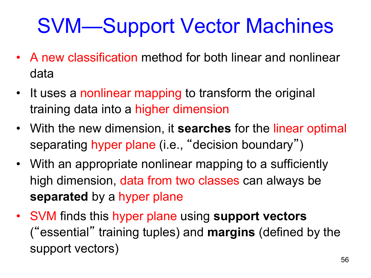## SVM—Support Vector Machines

- A new classification method for both linear and nonlinear data
- It uses a nonlinear mapping to transform the original training data into a higher dimension
- With the new dimension, it **searches** for the linear optimal separating hyper plane (i.e., "decision boundary")
- With an appropriate nonlinear mapping to a sufficiently high dimension, data from two classes can always be **separated** by a hyper plane
- SVM finds this hyper plane using **support vectors**  ("essential" training tuples) and **margins** (defined by the support vectors)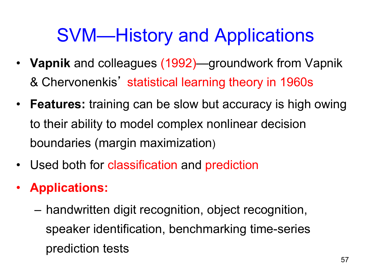### SVM—History and Applications

- **Vapnik** and colleagues (1992)—groundwork from Vapnik & Chervonenkis' statistical learning theory in 1960s
- **Features:** training can be slow but accuracy is high owing to their ability to model complex nonlinear decision boundaries (margin maximization)
- Used both for classification and prediction
- **Applications:** 
	- handwritten digit recognition, object recognition, speaker identification, benchmarking time-series prediction tests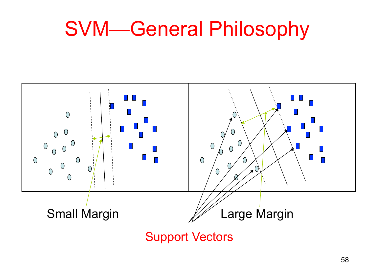## SVM—General Philosophy



Support Vectors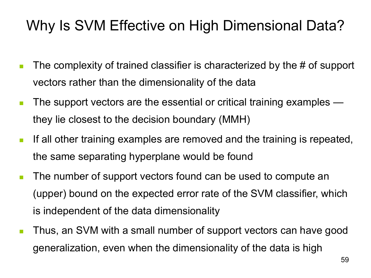#### Why Is SVM Effective on High Dimensional Data?

- **n** The complexity of trained classifier is characterized by the  $\#$  of support vectors rather than the dimensionality of the data
- $\blacksquare$  The support vectors are the essential or critical training examples they lie closest to the decision boundary (MMH)
- **F** If all other training examples are removed and the training is repeated, the same separating hyperplane would be found
- **n** The number of support vectors found can be used to compute an (upper) bound on the expected error rate of the SVM classifier, which is independent of the data dimensionality
- Thus, an SVM with a small number of support vectors can have good generalization, even when the dimensionality of the data is high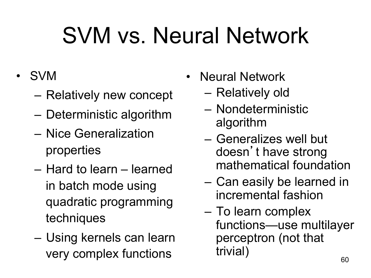# SVM vs. Neural Network

- SVM
	- Relatively new concept
	- Deterministic algorithm
	- Nice Generalization properties
	- Hard to learn learned in batch mode using quadratic programming techniques
	- Using kernels can learn very complex functions
- Neural Network
	- Relatively old
	- Nondeterministic algorithm
	- Generalizes well but doesn't have strong mathematical foundation
	- Can easily be learned in incremental fashion
	- To learn complex functions—use multilayer perceptron (not that trivial)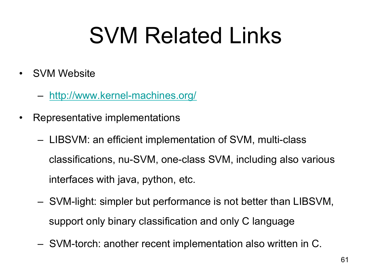# SVM Related Links

- **SVM Website** 
	- http://www.kernel-machines.org/
- Representative implementations
	- LIBSVM: an efficient implementation of SVM, multi-class classifications, nu-SVM, one-class SVM, including also various interfaces with java, python, etc.
	- SVM-light: simpler but performance is not better than LIBSVM, support only binary classification and only C language
	- SVM-torch: another recent implementation also written in C.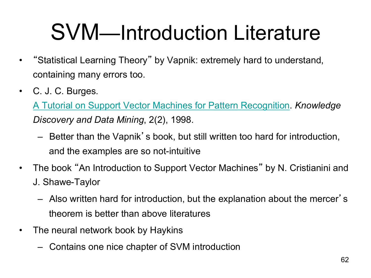# SVM—Introduction Literature

- "Statistical Learning Theory" by Vapnik: extremely hard to understand, containing many errors too.
- C. J. C. Burges.

A Tutorial on Support Vector Machines for Pattern Recognition. *Knowledge Discovery and Data Mining*, 2(2), 1998.

- Better than the Vapnik's book, but still written too hard for introduction, and the examples are so not-intuitive
- The book "An Introduction to Support Vector Machines" by N. Cristianini and J. Shawe-Taylor
	- Also written hard for introduction, but the explanation about the mercer' s theorem is better than above literatures
- The neural network book by Haykins
	- Contains one nice chapter of SVM introduction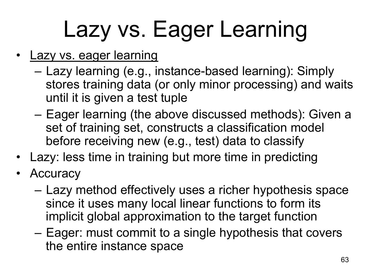# Lazy vs. Eager Learning

- Lazy vs. eager learning
	- Lazy learning (e.g., instance-based learning): Simply stores training data (or only minor processing) and waits until it is given a test tuple
	- Eager learning (the above discussed methods): Given a set of training set, constructs a classification model before receiving new (e.g., test) data to classify
- Lazy: less time in training but more time in predicting
- **Accuracy** 
	- Lazy method effectively uses a richer hypothesis space since it uses many local linear functions to form its implicit global approximation to the target function
	- Eager: must commit to a single hypothesis that covers the entire instance space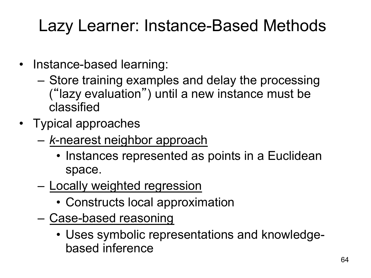#### Lazy Learner: Instance-Based Methods

- Instance-based learning:
	- Store training examples and delay the processing ("lazy evaluation") until a new instance must be classified
- Typical approaches
	- *k*-nearest neighbor approach
		- Instances represented as points in a Euclidean space.
	- Locally weighted regression
		- Constructs local approximation
	- Case-based reasoning
		- Uses symbolic representations and knowledgebased inference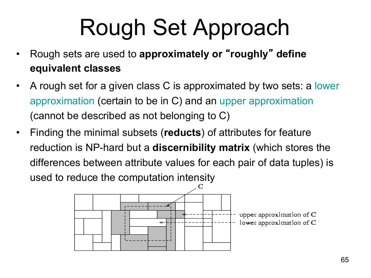# Rough Set Approach

- Rough sets are used to **approximately or** "**roughly**" **define equivalent classes**
- A rough set for a given class C is approximated by two sets: a lower approximation (certain to be in C) and an upper approximation (cannot be described as not belonging to C)
- Finding the minimal subsets (**reducts**) of attributes for feature reduction is NP-hard but a **discernibility matrix** (which stores the differences between attribute values for each pair of data tuples) is used to reduce the computation intensity